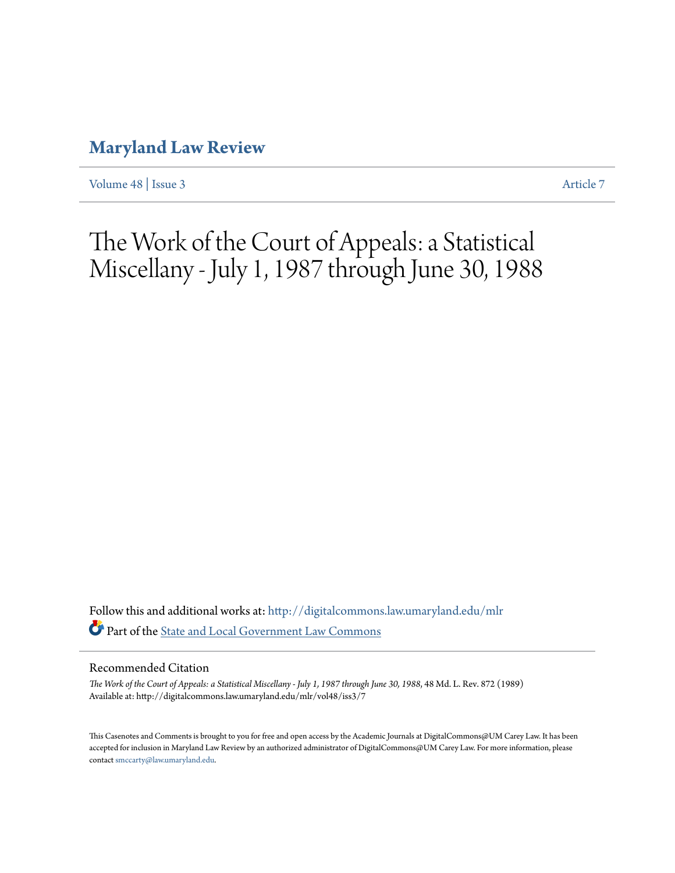# **[Maryland Law Review](http://digitalcommons.law.umaryland.edu/mlr?utm_source=digitalcommons.law.umaryland.edu%2Fmlr%2Fvol48%2Fiss3%2F7&utm_medium=PDF&utm_campaign=PDFCoverPages)**

[Volume 48](http://digitalcommons.law.umaryland.edu/mlr/vol48?utm_source=digitalcommons.law.umaryland.edu%2Fmlr%2Fvol48%2Fiss3%2F7&utm_medium=PDF&utm_campaign=PDFCoverPages) | [Issue 3](http://digitalcommons.law.umaryland.edu/mlr/vol48/iss3?utm_source=digitalcommons.law.umaryland.edu%2Fmlr%2Fvol48%2Fiss3%2F7&utm_medium=PDF&utm_campaign=PDFCoverPages) [Article 7](http://digitalcommons.law.umaryland.edu/mlr/vol48/iss3/7?utm_source=digitalcommons.law.umaryland.edu%2Fmlr%2Fvol48%2Fiss3%2F7&utm_medium=PDF&utm_campaign=PDFCoverPages)

The Work of the Court of Appeals: a Statistical Miscellany - July 1, 1987 through June 30, 1988

Follow this and additional works at: [http://digitalcommons.law.umaryland.edu/mlr](http://digitalcommons.law.umaryland.edu/mlr?utm_source=digitalcommons.law.umaryland.edu%2Fmlr%2Fvol48%2Fiss3%2F7&utm_medium=PDF&utm_campaign=PDFCoverPages) Part of the [State and Local Government Law Commons](http://network.bepress.com/hgg/discipline/879?utm_source=digitalcommons.law.umaryland.edu%2Fmlr%2Fvol48%2Fiss3%2F7&utm_medium=PDF&utm_campaign=PDFCoverPages)

#### Recommended Citation

*The Work of the Court of Appeals: a Statistical Miscellany - July 1, 1987 through June 30, 1988*, 48 Md. L. Rev. 872 (1989) Available at: http://digitalcommons.law.umaryland.edu/mlr/vol48/iss3/7

This Casenotes and Comments is brought to you for free and open access by the Academic Journals at DigitalCommons@UM Carey Law. It has been accepted for inclusion in Maryland Law Review by an authorized administrator of DigitalCommons@UM Carey Law. For more information, please contact [smccarty@law.umaryland.edu.](mailto:smccarty@law.umaryland.edu)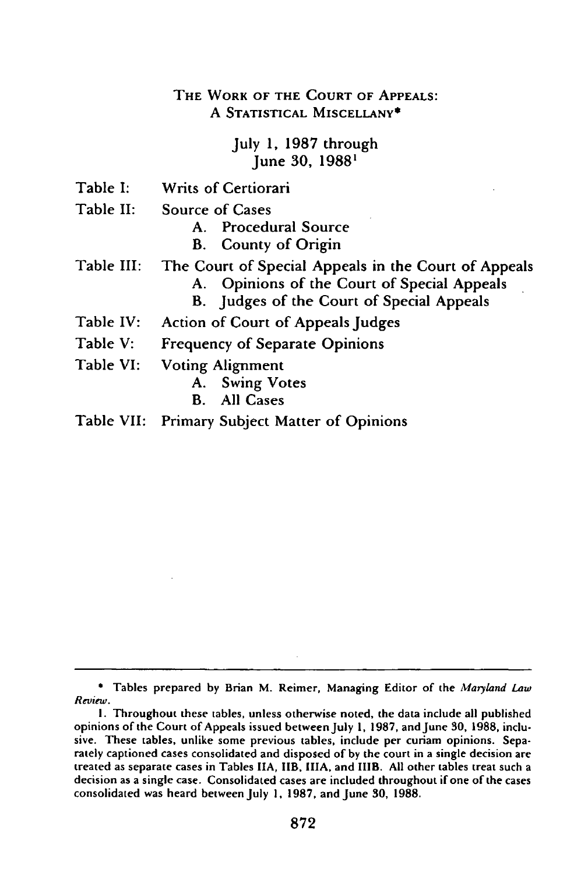### THE WORK OF THE **COURT** OF **APPEALS: A STATISTICAL MISCELLANY\***

July **1, 1987** through June **30, 1988'**

- Table **I:** Writs of Certiorari
- Table II: Source of Cases

**A.** Procedural Source

- B. County of Origin
- Table **III:** The Court of Special Appeals in the Court of Appeals
	- **A.** Opinions of the Court of Special Appeals
	- B. Judges of the Court of Special Appeals
- Table IV: Action of Court of Appeals Judges
- Table V: Frequency of Separate Opinions
- Table VI: Voting Alignment
	- **A.** Swing Votes
	- B. **All** Cases
- Table VII: Primary Subject Matter of Opinions

<sup>\*</sup> Tables prepared by Brian M. Reimer, Managing Editor of the *Maryland Law Review.*

**I.** Throughout these tables, unless otherwise noted, the data include all published opinions of the Court of Appeals issued between July **1, 1987,** and June **30, 1988,** inclusive. These tables, unlike some previous tables, include per curiam opinions. Separately captioned cases consolidated and disposed of **by** the court in a single decision are treated as separate cases in Tables **IIA,** IIB, **IIIA,** and IIIB. **All** other tables treat such a decision as a single case. Consolidated cases are included throughout if one of the cases consolidated was heard between July **1, 1987,** and June **30, 1988.**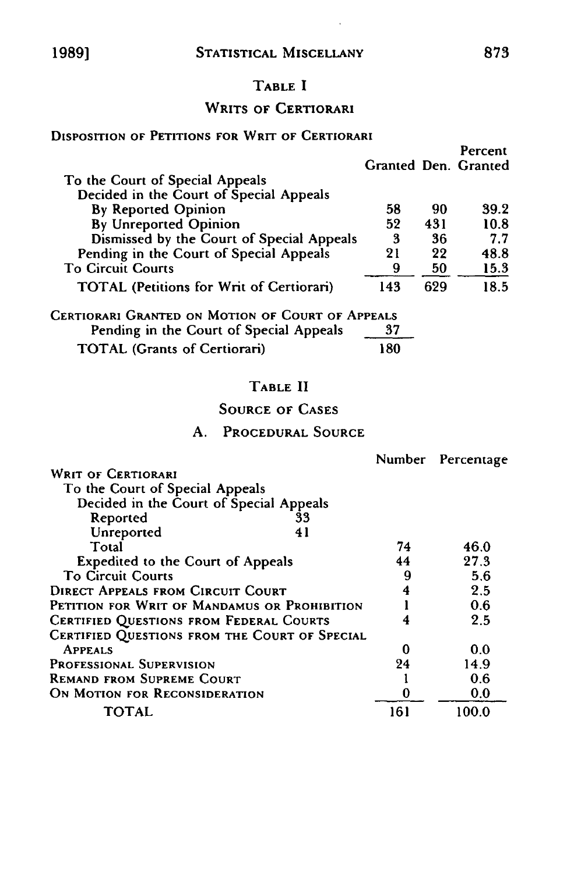# TABLE I

# WRITS OF CERTIORARI

#### **DISPOSITION** OF PETITIONS FOR WRIT OF CERTIORARI

|                                                                                                         |     |     | Percent              |
|---------------------------------------------------------------------------------------------------------|-----|-----|----------------------|
|                                                                                                         |     |     | Granted Den. Granted |
| To the Court of Special Appeals                                                                         |     |     |                      |
| Decided in the Court of Special Appeals                                                                 |     |     |                      |
| <b>By Reported Opinion</b>                                                                              | 58  | 90  | 39.2                 |
| By Unreported Opinion                                                                                   | 52  | 431 | 10.8                 |
| Dismissed by the Court of Special Appeals                                                               | 3   | 36  | 7.7                  |
| Pending in the Court of Special Appeals                                                                 | 21  | 22  | 48.8                 |
| <b>To Circuit Courts</b>                                                                                | 9   | 50  | 15.3                 |
| <b>TOTAL (Petitions for Writ of Certiorari)</b>                                                         | 143 | 629 | 18.5                 |
| $C_{\text{ENTOMAD}}$ $C_{\text{DAMED, ON}}$ $M_{\text{OTOM}}$ of $C_{\text{OMD}}$ of $A_{\text{DPEAL}}$ |     |     |                      |

| CERTIORARI GRANTED ON MOTION OF COURT OF APPEALS |     |
|--------------------------------------------------|-----|
| Pending in the Court of Special Appeals          | -37 |
| <b>TOTAL</b> (Grants of Certiorari)              | 180 |

# TABLE **II**

# **SOURCE** OF **CASES**

#### **A.** PROCEDURAL SOURCE

|                                                |     | Number Percentage |
|------------------------------------------------|-----|-------------------|
| <b>WRIT OF CERTIORARI</b>                      |     |                   |
| To the Court of Special Appeals                |     |                   |
| Decided in the Court of Special Appeals        |     |                   |
| Reported<br>33                                 |     |                   |
| Unreported<br>41                               |     |                   |
| Total                                          | 74  | 46.0              |
| Expedited to the Court of Appeals              | 44  | 27.3              |
| <b>To Circuit Courts</b>                       | 9   | 5.6               |
| <b>DIRECT APPEALS FROM CIRCUIT COURT</b>       | 4   | 2.5               |
| PETITION FOR WRIT OF MANDAMUS OR PROHIBITION   |     | 0.6               |
| <b>CERTIFIED QUESTIONS FROM FEDERAL COURTS</b> | 4   | 2.5               |
| CERTIFIED QUESTIONS FROM THE COURT OF SPECIAL  |     |                   |
| <b>APPEALS</b>                                 | 0   | 0.0               |
| <b>PROFESSIONAL SUPERVISION</b>                | 24  | 14.9              |
| <b>REMAND FROM SUPREME COURT</b>               |     | 0.6               |
| ON MOTION FOR RECONSIDERATION                  | 0   | 0.0               |
| TOTAL                                          | 161 | 100.0             |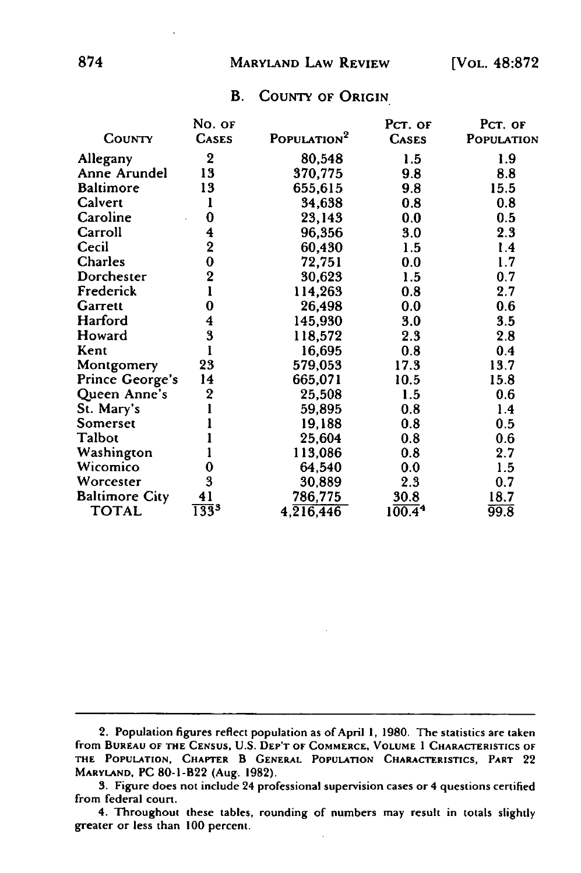#### MARYLAND LAW REVIEW

#### B. COUNTY OF ORIGIN

|                        | No. or                  |                         | PCT. OF      | PCT. OF    |
|------------------------|-------------------------|-------------------------|--------------|------------|
| COUNTY                 | <b>CASES</b>            | POPULATION <sup>2</sup> | <b>CASES</b> | POPULATION |
| Allegany               | $\mathbf 2$             | 80,548                  | 1.5          | 1.9        |
| Anne Arundel           | 13                      | 370,775                 | 9.8          | 8.8        |
| <b>Baltimore</b>       | 13                      | 655,615                 | 9.8          | 15.5       |
| Calvert                | 1                       | 34,638                  | 0.8          | 0.8        |
| Caroline               | 0                       | 23,143                  | 0.0          | 0.5        |
| Carroll                | 4                       | 96,356                  | 3.0          | 2.3        |
| Cecil                  | $\overline{\mathbf{2}}$ | 60,430                  | 1.5          | 1.4        |
| Charles                | $\bf{0}$                | 72,751                  | 0.0          | 1.7        |
| Dorchester             | $\overline{2}$          | 30,623                  | 1.5          | 0.7        |
| Frederick              |                         | 114,263                 | 0.8          | 2.7        |
| Garrett                | 0                       | 26,498                  | 0.0          | 0.6        |
| Harford                | 4                       | 145,930                 | 3.0          | 3.5        |
| Howard                 | 3                       | 118,572                 | 2.3          | 2.8        |
| Kent                   |                         | 16,695                  | 0.8          | 0.4        |
| Montgomery             | 23                      | 579,053                 | 17.3         | 13.7       |
| <b>Prince George's</b> | 14                      | 665,071                 | 10.5         | 15.8       |
| Queen Anne's           | $\mathbf 2$             | 25,508                  | 1.5          | 0.6        |
| St. Mary's             |                         | 59,895                  | 0.8          | 1.4        |
| Somerset               |                         | 19,188                  | 0.8          | 0.5        |
| Talbot                 |                         | 25,604                  | 0.8          | 0.6        |
| Washington             |                         | 113,086                 | 0.8          | 2.7        |
| Wicomico               | 0                       | 64,540                  | 0.0          | 1.5        |
| Worcester              | 3                       | 30,889                  | 2.3          | 0.7        |
| <b>Baltimore City</b>  | 41                      | 786,775                 | 30.8         | 18.7       |
| <b>TOTAL</b>           | $\overline{133}^3$      | 4,216,446               | 100.44       | 99.8       |

<sup>2.</sup> Population **figures** reflect population as of April **1, 1980.** The statistics are taken **from BUREAU OF THE CENSUS, U.S. DEP'T OF COMMERCE, VOLUME I CHARACTERISTICS OF THE POPULATION, CHAPTER** B **GENERAL POPULATION CHARACTERISTICS, PART** 22 **MARYLAND, PC** 80-1-B22 (Aug. **1982).**

**<sup>3.</sup>** Figure does not **include** 24 **professional supervision** cases **or** 4 **questions certified** from federal court.

<sup>4.</sup> Throughout these tables, rounding of numbers may result in totals slightly greater or less than **100** percent.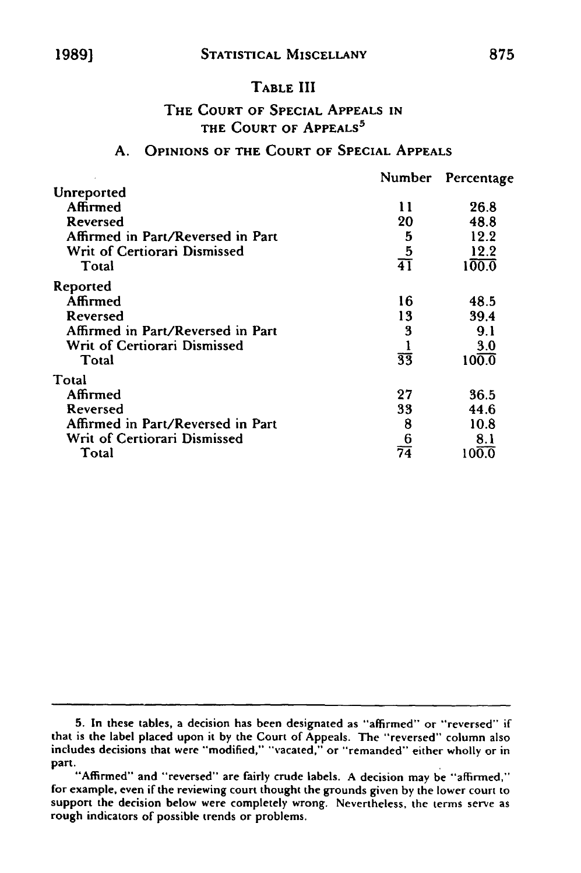#### TABLE III

### THE **COURT** OF **SPECIAL APPEALS IN** THE **COURT** OF **APPEALS <sup>5</sup>**

#### **A.** OPINIONS OF THE **COURT** OF **SPECIAL APPEALS**

|                                   | Number          | Percentage         |
|-----------------------------------|-----------------|--------------------|
| Unreported                        |                 |                    |
| Affirmed                          | 11              | 26.8               |
| Reversed                          | 20              | 48.8               |
| Affirmed in Part/Reversed in Part | 5               | 12.2               |
| Writ of Certiorari Dismissed      | $\overline{5}$  | 12.2               |
| Total                             | $\overline{41}$ | $1\overline{00.0}$ |
| Reported                          |                 |                    |
| Affirmed                          | 16              | 48.5               |
| Reversed                          | 13              | 39.4               |
| Affirmed in Part/Reversed in Part | 3               | 9.1                |
| Writ of Certiorari Dismissed      |                 | 3.0                |
| Total                             | $\overline{33}$ | 100.0              |
| Total                             |                 |                    |
| Affirmed                          | 27              | 36.5               |
| Reversed                          | 33              | 44.6               |
| Affirmed in Part/Reversed in Part | 8               | 10.8               |
| Writ of Certiorari Dismissed      | 6               | 8.1                |
| Total                             | $\overline{74}$ | 100.0              |

**<sup>5.</sup>** In these tables, a decision has been designated as "affirmed" or "reversed" if that is the label placed upon it **by** the Court of Appeals. The "reversed" column also includes decisions that were "modified," "vacated," or "remanded" either wholly or in

part.<br>"Affirmed" and "reversed" are fairly crude labels. A decision may be "affirmed," for example, even if the reviewing court thought the grounds given **by** the lower court to support the decision below were completely wrong. Nevertheless, the terms serve as rough indicators of possible trends or problems.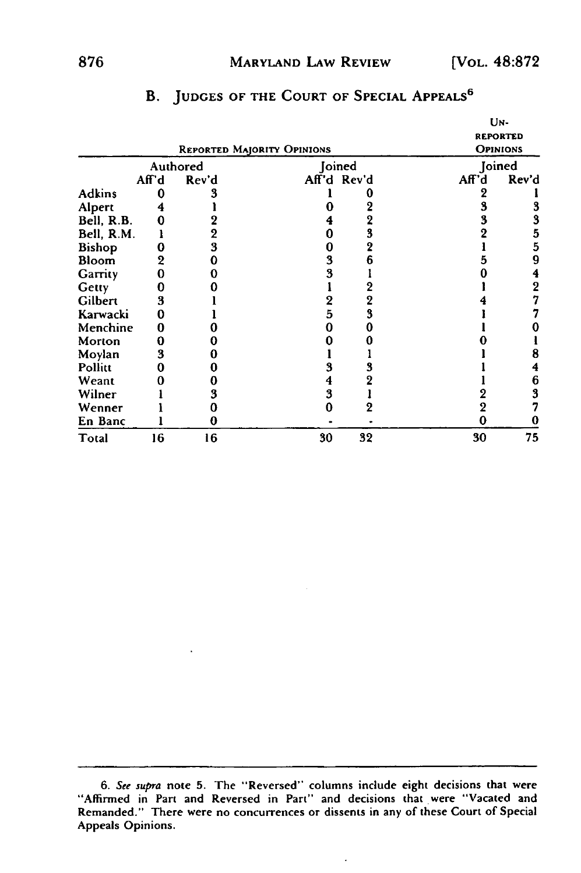#### MARYLAND LAW REVIEW [VOL. **48:872**

|               |       | <b>REPORTED MAJORITY OPINIONS</b> |    |             |       | UN-<br><b>REPORTED</b><br><b>OPINIONS</b> |
|---------------|-------|-----------------------------------|----|-------------|-------|-------------------------------------------|
|               |       | Authored                          |    | Joined      |       | Joined                                    |
|               | Aff'd | Rev'd                             |    | Aff'd Rev'd | Aff'd | Rev'd                                     |
| <b>Adkins</b> |       |                                   |    |             |       |                                           |
| Alpert        |       |                                   |    |             |       | 3                                         |
| Bell, R.B.    |       |                                   |    |             |       | 3                                         |
| Bell, R.M.    |       | $\boldsymbol{2}$                  |    |             |       | 5                                         |
| <b>Bishop</b> |       | 3                                 | 0  |             |       | 5                                         |
| Bloom         | 2     | 0                                 | 3  |             |       | 9                                         |
| Garrity       |       | 0                                 | 3  |             |       |                                           |
| Getty         |       |                                   |    |             |       | 2                                         |
| Gilbert       | 3     |                                   | 2  |             |       |                                           |
| Karwacki      |       |                                   | 5  |             |       |                                           |
| Menchine      |       |                                   |    |             |       |                                           |
| Morton        |       |                                   |    |             |       |                                           |
| Moylan        | 3     |                                   |    |             |       |                                           |
| Pollitt       |       |                                   | 3  |             |       |                                           |
| Weant         |       |                                   | 4  |             |       | 6                                         |
| Wilner        |       | 3                                 | 3  |             |       | 3                                         |
| Wenner        |       | Π                                 |    |             |       |                                           |
| En Banc       |       | 0                                 |    |             |       |                                           |
| Total         | 16    | 16                                | 30 | 32          | 30    | 75                                        |

# B. **JUDGES** OF THE **COURT** OF **SPECIAL APPEALS <sup>6</sup>**

 $\ddot{\phantom{0}}$ 

**<sup>6.</sup>** See supra note **5.** The "Reversed" columns include eight decisions that were "Affirmed in Part and Reversed in Part" and decisions that were "Vacated and Remanded." There were no concurrences or dissents in any of these Court of Special Appeals Opinions.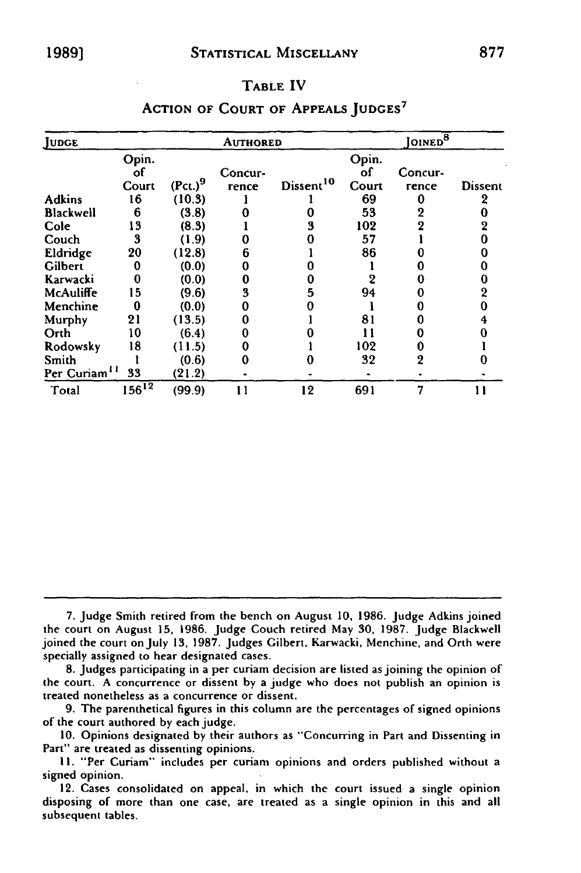#### TABLE IV

| JUDGE                    |            |                           | <b>AUTHORED</b> |                       |       | <sup>8</sup> OINED |                |
|--------------------------|------------|---------------------------|-----------------|-----------------------|-------|--------------------|----------------|
|                          | Opin.      |                           |                 |                       | Opin. |                    |                |
|                          | оf         |                           | Concur-         |                       | оf    | Concur-            |                |
|                          | Court      | $($ Pct. $)$ <sup>9</sup> | rence           | Dissent <sup>10</sup> | Court | rence              | <b>Dissent</b> |
| <b>Adkins</b>            | 16         | (10.3)                    |                 |                       | 69    |                    | 2              |
| <b>Blackwell</b>         | 6          | (3.8)                     |                 |                       | 53    |                    |                |
| Cole                     | 13         | (8.3)                     |                 | 3                     | 102   |                    |                |
| Couch                    | 3          | (1.9)                     |                 |                       | 57    |                    |                |
| Eldridge                 | 20         | (12.8)                    | 6               |                       | 86    |                    |                |
| Gilbert                  | 0          | (0.0)                     |                 |                       |       |                    |                |
| Karwacki                 | 0          | (0.0)                     | 0               |                       |       |                    |                |
| McAuliffe                | 15         | (9.6)                     | 3               | 5                     | 94    |                    |                |
| Menchine                 |            | (0.0)                     |                 |                       |       |                    |                |
| Murphy                   | 21         | (13.5)                    |                 |                       | 81    |                    |                |
| Orth                     | 10         | (6.4)                     |                 |                       | וו    |                    |                |
| Rodowsky                 | 18         | (11.5)                    |                 |                       | 102   |                    |                |
| Smith                    |            | (0.6)                     | 0               |                       | 32    | 2                  |                |
| Per Curiam <sup>11</sup> | 33         | (21.2)                    |                 |                       |       |                    |                |
| Total                    | $156^{12}$ | (99.9)                    | 11              | 12                    | 691   | 7                  | 11             |

#### **ACTION** OF **COURT** OF **APPEALS JUDGES <sup>7</sup>**

**7.** Judge Smith retired from the bench on August **10, 1986.** Judge Adkins joined the court on August **15, 1986.** Judge Couch retired May **30, 1987.** judge Blackwell joined the court on July **13, 1987.** Judges Gilbert, Karwacki, Menchine, and Orth were specially assigned to hear designated cases.

**8.** Judges participating in a per curiam decision are listed as joining the opinion of the court. **A** concurrence or dissent **by** a judge who does not publish an opinion is treated nonetheless as a concurrence or dissent.

**9.** The parenthetical figures in this column are the percentages of signed opinions of the court authored **by** each judge.

**10.** Opinions designated **by** their authors as "Concurring in Part and Dissenting in Part" are treated as dissenting opinions.

**11.** "Per Curiam" includes per curiam opinions and orders published without a signed opinion.

12. Cases consolidated on appeal, in which the court issued a single opinion disposing of more than one case, are treated as a single opinion in this and all subsequent tables.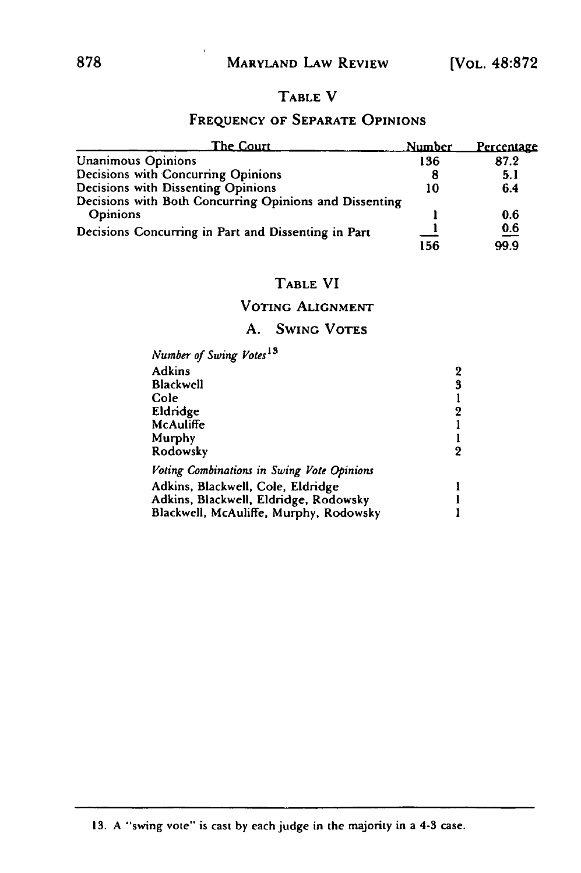# TABLE V

### **FREQUENCY** OF SEPARATE OPINIONS

| The Court                                              | Number | <u>Percentage</u> |
|--------------------------------------------------------|--------|-------------------|
| <b>Unanimous Opinions</b>                              | 136    | 87.2              |
| Decisions with Concurring Opinions                     | 8      | 5.1               |
| Decisions with Dissenting Opinions                     | 10     | 6.4               |
| Decisions with Both Concurring Opinions and Dissenting |        |                   |
| <b>Opinions</b>                                        |        | 0.6               |
| Decisions Concurring in Part and Dissenting in Part    |        | $\underline{0.6}$ |
|                                                        | 156    | 99.9              |

# TABLE VI

# VOTING ALIGNMENT

# A. **SWING** VOTES

| Number of Swing Votes <sup>13</sup>        |   |
|--------------------------------------------|---|
| <b>Adkins</b>                              | 2 |
| <b>Blackwell</b>                           | 3 |
| Cole                                       |   |
| Eldridge                                   | 9 |
| McAuliffe                                  |   |
| Murphy                                     |   |
| Rodowsky                                   | 2 |
| Voting Combinations in Swing Vote Opinions |   |
| Adkins, Blackwell, Cole, Eldridge          |   |
| Adkins, Blackwell, Eldridge, Rodowsky      |   |
| Blackwell, McAuliffe, Murphy, Rodowsky     |   |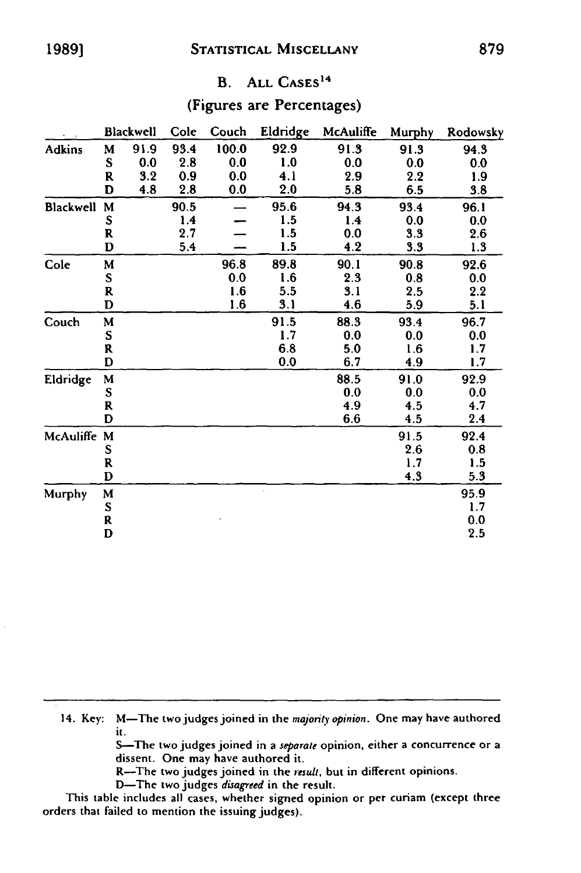# B. **ALL CASES <sup>14</sup>**

# (Figures are Percentages)

|               |             | Blackwell | Cole | Couch | Eldridge | McAuliffe | Murphy | Rodowsky |
|---------------|-------------|-----------|------|-------|----------|-----------|--------|----------|
| <b>Adkins</b> | M           | 91.9      | 93.4 | 100.0 | 92.9     | 91.3      | 91.3   | 94.3     |
|               | S           | 0.0       | 2.8  | 0.0   | 1.0      | 0.0       | 0.0    | 0.0      |
|               | R           | 3.2       | 0.9  | 0.0   | 4.1      | 2.9       | 2.2    | 1.9      |
|               | D           | 4.8       | 2.8  | 0.0   | 2.0      | 5.8       | 6.5    | 3.8      |
| Blackwell     | M           |           | 90.5 |       | 95.6     | 94.3      | 93.4   | 96.1     |
|               | S           |           | 1.4  |       | 1.5      | 1.4       | 0.0    | 0.0      |
|               | R           |           | 2.7  |       | 1.5      | 0.0       | 3.3    | 2.6      |
|               | D           |           | 5.4  |       | 1.5      | 4.2       | 3.3    | 1.3      |
| Cole          | M           |           |      | 96.8  | 89.8     | 90.1      | 90.8   | 92.6     |
|               | S           |           |      | 0.0   | 1.6      | 2.3       | 0.8    | 0.0      |
|               | R           |           |      | 1.6   | 5.5      | 3.1       | 2.5    | 2.2      |
|               | D           |           |      | 1.6   | 3.1      | 4.6       | 5.9    | 5.1      |
| Couch         | M           |           |      |       | 91.5     | 88.3      | 93.4   | 96.7     |
|               | S           |           |      |       | 1.7      | 0.0       | 0.0    | 0.0      |
|               | $\mathbf R$ |           |      |       | 6.8      | 5.0       | 1.6    | 1.7      |
|               | D           |           |      |       | 0.0      | 6.7       | 4.9    | 1.7      |
| Eldridge      | M           |           |      |       |          | 88.5      | 91.0   | 92.9     |
|               | S           |           |      |       |          | 0.0       | 0.0    | 0.0      |
|               | R           |           |      |       |          | 4.9       | 4.5    | 4.7      |
|               | D           |           |      |       |          | 6.6       | 4.5    | 2.4      |
| McAuliffe     | M           |           |      |       |          |           | 91.5   | 92.4     |
|               | ${\bf S}$   |           |      |       |          |           | 2.6    | 0.8      |
|               | R           |           |      |       |          |           | 1.7    | 1.5      |
|               | D           |           |      |       |          |           | 4.3    | 5.3      |
| Murphy        | M           |           |      |       |          |           |        | 95.9     |
|               | S           |           |      |       |          |           |        | 1.7      |
|               | R           |           |      |       |          |           |        | 0.0      |
|               | D           |           |      |       |          |           |        | 2.5      |

14. Key: M-The two judges joined in the majority opinion. One may have authored it.

S-The two judges joined in a separate opinion, either a concurrence or a dissent. One may have authored it.

R-The two judges joined in the *result,* but in different opinions.

D-The two judges disagreed in the result.

This table includes all cases, whether signed opinion or per curiam (except three orders that failed to mention the issuing judges).